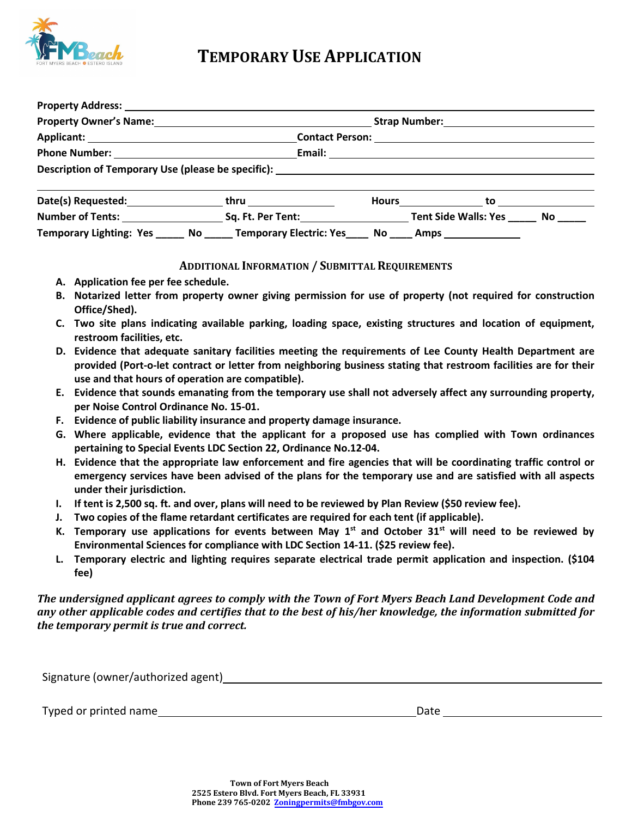

## **TEMPORARY USE APPLICATION**

| Property Owner's Name:<br><u>Property Owner's Name:</u> |                                                                                                |  | Strap Number: National Assembly Property of the Strap Number of the Strap Assembly Property of the Strap Assembly |  |  |
|---------------------------------------------------------|------------------------------------------------------------------------------------------------|--|-------------------------------------------------------------------------------------------------------------------|--|--|
|                                                         |                                                                                                |  |                                                                                                                   |  |  |
|                                                         |                                                                                                |  |                                                                                                                   |  |  |
|                                                         | Description of Temporary Use (please be specific): _____________________________               |  |                                                                                                                   |  |  |
|                                                         |                                                                                                |  | Hours $\qquad \qquad$ to $\qquad \qquad$                                                                          |  |  |
|                                                         |                                                                                                |  |                                                                                                                   |  |  |
|                                                         | Temporary Lighting: Yes _____ No _____ Temporary Electric: Yes ____ No ____ Amps _____________ |  |                                                                                                                   |  |  |

#### **ADDITIONAL INFORMATION / SUBMITTAL REQUIREMENTS**

- **A. Application fee per fee schedule.**
- **B. Notarized letter from property owner giving permission for use of property (not required for construction Office/Shed).**
- **C. Two site plans indicating available parking, loading space, existing structures and location of equipment, restroom facilities, etc.**
- **D. Evidence that adequate sanitary facilities meeting the requirements of Lee County Health Department are provided (Port-o-let contract or letter from neighboring business stating that restroom facilities are for their use and that hours of operation are compatible).**
- **E. Evidence that sounds emanating from the temporary use shall not adversely affect any surrounding property, per Noise Control Ordinance No. 15-01.**
- **F. Evidence of public liability insurance and property damage insurance.**
- **G. Where applicable, evidence that the applicant for a proposed use has complied with Town ordinances pertaining to Special Events LDC Section 22, Ordinance No.12-04.**
- **H. Evidence that the appropriate law enforcement and fire agencies that will be coordinating traffic control or emergency services have been advised of the plans for the temporary use and are satisfied with all aspects under their jurisdiction.**
- **I. If tent is 2,500 sq. ft. and over, plans will need to be reviewed by Plan Review (\$50 review fee).**
- **J. Two copies of the flame retardant certificates are required for each tent (if applicable).**
- **K. Temporary use applications for events between May 1st and October 31st will need to be reviewed by Environmental Sciences for compliance with LDC Section 14-11. (\$25 review fee).**
- **L. Temporary electric and lighting requires separate electrical trade permit application and inspection. (\$104 fee)**

#### *The undersigned applicant agrees to comply with the Town of Fort Myers Beach Land Development Code and any other applicable codes and certifies that to the best of his/her knowledge, the information submitted for the temporary permit is true and correct.*

| Signature (owner/authorized agent) |  |
|------------------------------------|--|
|                                    |  |

Typed or printed name **Date** Date of the Date of the Date Date of the Date of the Date of the Date of the Date of the Date of the Date of the Date of the Date of the Date of the Date of the Date of the Date of the Date of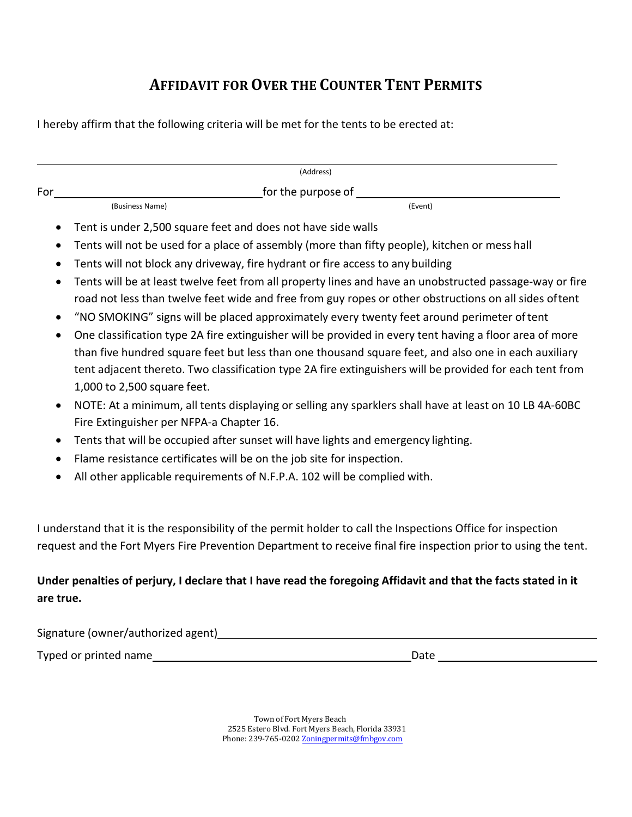# **AFFIDAVIT FOR OVER THE COUNTER TENT PERMITS**

I hereby affirm that the following criteria will be met for the tents to be erected at:

|                        |                                                                                               | (Address)                                                                                                                                                                                                                                                                                                                   |  |  |  |
|------------------------|-----------------------------------------------------------------------------------------------|-----------------------------------------------------------------------------------------------------------------------------------------------------------------------------------------------------------------------------------------------------------------------------------------------------------------------------|--|--|--|
| For                    |                                                                                               | for the purpose of ________                                                                                                                                                                                                                                                                                                 |  |  |  |
|                        | (Business Name)                                                                               | (Event)                                                                                                                                                                                                                                                                                                                     |  |  |  |
| ٠                      | Tent is under 2,500 square feet and does not have side walls                                  |                                                                                                                                                                                                                                                                                                                             |  |  |  |
| $\bullet$              | Tents will not be used for a place of assembly (more than fifty people), kitchen or mess hall |                                                                                                                                                                                                                                                                                                                             |  |  |  |
| ٠                      | Tents will not block any driveway, fire hydrant or fire access to any building                |                                                                                                                                                                                                                                                                                                                             |  |  |  |
| $\bullet$<br>$\bullet$ |                                                                                               | Tents will be at least twelve feet from all property lines and have an unobstructed passage-way or fire<br>road not less than twelve feet wide and free from guy ropes or other obstructions on all sides oftent<br>"NO SMOKING" signs will be placed approximately every twenty feet around perimeter of tent              |  |  |  |
| $\bullet$              | 1,000 to 2,500 square feet.                                                                   | One classification type 2A fire extinguisher will be provided in every tent having a floor area of more<br>than five hundred square feet but less than one thousand square feet, and also one in each auxiliary<br>tent adjacent thereto. Two classification type 2A fire extinguishers will be provided for each tent from |  |  |  |
| $\bullet$              | Fire Extinguisher per NFPA-a Chapter 16.                                                      | NOTE: At a minimum, all tents displaying or selling any sparklers shall have at least on 10 LB 4A-60BC                                                                                                                                                                                                                      |  |  |  |
| $\bullet$              | Tents that will be occupied after sunset will have lights and emergency lighting.             |                                                                                                                                                                                                                                                                                                                             |  |  |  |
| $\bullet$              | Flame resistance certificates will be on the job site for inspection.                         |                                                                                                                                                                                                                                                                                                                             |  |  |  |
| $\bullet$              | All other applicable requirements of N.F.P.A. 102 will be complied with.                      |                                                                                                                                                                                                                                                                                                                             |  |  |  |
|                        |                                                                                               | I understand that it is the responsibility of the permit holder to call the Inspections Office for inspection<br>request and the Fort Myers Fire Prevention Department to receive final fire inspection prior to using the tent.                                                                                            |  |  |  |
|                        |                                                                                               | Under penalties of perjury, I declare that I have read the foregoing Affidavit and that the facts stated in it                                                                                                                                                                                                              |  |  |  |

### **are true.**

Signature (owner/authorized agent)<br>
Signature (owner/authorized agent)

Typed or printed name Date